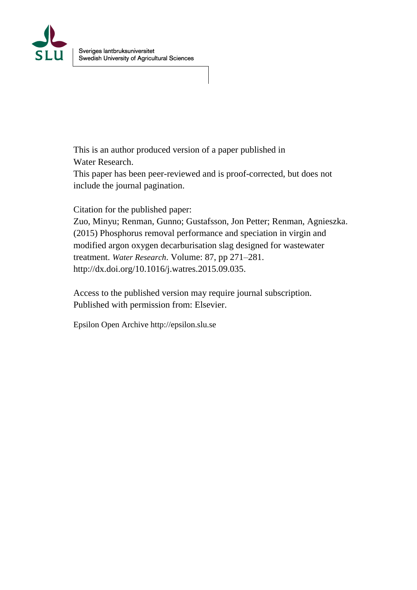

This is an author produced version of a paper published in Water Research.

This paper has been peer-reviewed and is proof-corrected, but does not include the journal pagination.

Citation for the published paper:

Zuo, Minyu; Renman, Gunno; Gustafsson, Jon Petter; Renman, Agnieszka. (2015) Phosphorus removal performance and speciation in virgin and modified argon oxygen decarburisation slag designed for wastewater treatment. *Water Research*. Volume: 87, pp 271–281. http://dx.doi.org/10.1016/j.watres.2015.09.035.

Access to the published version may require journal subscription. Published with permission from: Elsevier.

Epsilon Open Archive http://epsilon.slu.se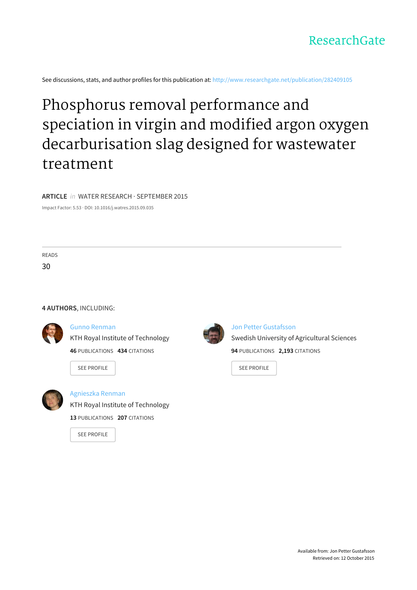

See discussions, stats, and author profiles for this publication at: [http://www.researchgate.net/publication/282409105](http://www.researchgate.net/publication/282409105_Phosphorus_removal_performance_and_speciation_in_virgin_and_modified_argon_oxygen_decarburisation_slag_designed_for_wastewater_treatment?enrichId=rgreq-8842b087-e3e7-4ff6-8484-92e9d5996343&enrichSource=Y292ZXJQYWdlOzI4MjQwOTEwNTtBUzoyODExOTgyNzExODg5OTJAMTQ0NDA1NDMwMDQwNQ%3D%3D&el=1_x_2)

# Phosphorus removal performance and speciation in virgin and modified argon oxygen [decarburisation](http://www.researchgate.net/publication/282409105_Phosphorus_removal_performance_and_speciation_in_virgin_and_modified_argon_oxygen_decarburisation_slag_designed_for_wastewater_treatment?enrichId=rgreq-8842b087-e3e7-4ff6-8484-92e9d5996343&enrichSource=Y292ZXJQYWdlOzI4MjQwOTEwNTtBUzoyODExOTgyNzExODg5OTJAMTQ0NDA1NDMwMDQwNQ%3D%3D&el=1_x_3) slag designed for wastewater treatment

#### **ARTICLE** in WATER RESEARCH · SEPTEMBER 2015

Impact Factor: 5.53 · DOI: 10.1016/j.watres.2015.09.035

READS 30

#### **4 AUTHORS**, INCLUDING:



### Gunno [Renman](http://www.researchgate.net/profile/Gunno_Renman?enrichId=rgreq-8842b087-e3e7-4ff6-8484-92e9d5996343&enrichSource=Y292ZXJQYWdlOzI4MjQwOTEwNTtBUzoyODExOTgyNzExODg5OTJAMTQ0NDA1NDMwMDQwNQ%3D%3D&el=1_x_5)

**46** PUBLICATIONS **434** CITATIONS

KTH Royal Institute of [Technology](http://www.researchgate.net/institution/KTH_Royal_Institute_of_Technology?enrichId=rgreq-8842b087-e3e7-4ff6-8484-92e9d5996343&enrichSource=Y292ZXJQYWdlOzI4MjQwOTEwNTtBUzoyODExOTgyNzExODg5OTJAMTQ0NDA1NDMwMDQwNQ%3D%3D&el=1_x_6)

SEE [PROFILE](http://www.researchgate.net/profile/Gunno_Renman?enrichId=rgreq-8842b087-e3e7-4ff6-8484-92e9d5996343&enrichSource=Y292ZXJQYWdlOzI4MjQwOTEwNTtBUzoyODExOTgyNzExODg5OTJAMTQ0NDA1NDMwMDQwNQ%3D%3D&el=1_x_7)



# Jon Petter [Gustafsson](http://www.researchgate.net/profile/Jon_Gustafsson?enrichId=rgreq-8842b087-e3e7-4ff6-8484-92e9d5996343&enrichSource=Y292ZXJQYWdlOzI4MjQwOTEwNTtBUzoyODExOTgyNzExODg5OTJAMTQ0NDA1NDMwMDQwNQ%3D%3D&el=1_x_5) Swedish University of [Agricultural](http://www.researchgate.net/institution/Swedish_University_of_Agricultural_Sciences?enrichId=rgreq-8842b087-e3e7-4ff6-8484-92e9d5996343&enrichSource=Y292ZXJQYWdlOzI4MjQwOTEwNTtBUzoyODExOTgyNzExODg5OTJAMTQ0NDA1NDMwMDQwNQ%3D%3D&el=1_x_6) Sciences **94** PUBLICATIONS **2,193** CITATIONS

SEE [PROFILE](http://www.researchgate.net/profile/Jon_Gustafsson?enrichId=rgreq-8842b087-e3e7-4ff6-8484-92e9d5996343&enrichSource=Y292ZXJQYWdlOzI4MjQwOTEwNTtBUzoyODExOTgyNzExODg5OTJAMTQ0NDA1NDMwMDQwNQ%3D%3D&el=1_x_7)



#### [Agnieszka](http://www.researchgate.net/profile/Agnieszka_Renman?enrichId=rgreq-8842b087-e3e7-4ff6-8484-92e9d5996343&enrichSource=Y292ZXJQYWdlOzI4MjQwOTEwNTtBUzoyODExOTgyNzExODg5OTJAMTQ0NDA1NDMwMDQwNQ%3D%3D&el=1_x_5) Renman

KTH Royal Institute of [Technology](http://www.researchgate.net/institution/KTH_Royal_Institute_of_Technology?enrichId=rgreq-8842b087-e3e7-4ff6-8484-92e9d5996343&enrichSource=Y292ZXJQYWdlOzI4MjQwOTEwNTtBUzoyODExOTgyNzExODg5OTJAMTQ0NDA1NDMwMDQwNQ%3D%3D&el=1_x_6)

**13** PUBLICATIONS **207** CITATIONS

SEE [PROFILE](http://www.researchgate.net/profile/Agnieszka_Renman?enrichId=rgreq-8842b087-e3e7-4ff6-8484-92e9d5996343&enrichSource=Y292ZXJQYWdlOzI4MjQwOTEwNTtBUzoyODExOTgyNzExODg5OTJAMTQ0NDA1NDMwMDQwNQ%3D%3D&el=1_x_7)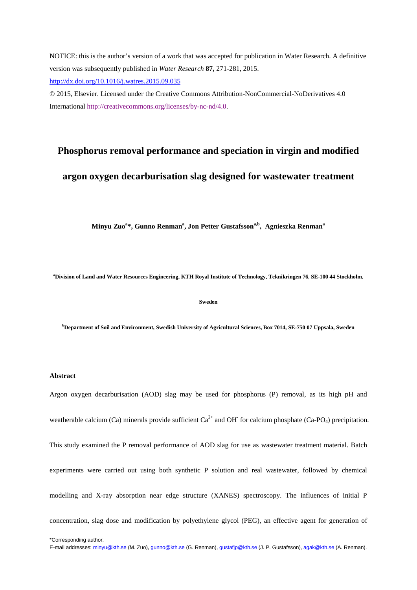NOTICE: this is the author's version of a work that was accepted for publication in Water Research. A definitive version was subsequently published in *Water Research* **87,** 271-281, 2015. <http://dx.doi.org/10.1016/j.watres.2015.09.035>

© 2015, Elsevier. Licensed under the Creative Commons Attribution-NonCommercial-NoDerivatives 4.0 International [http://creativecommons.org/licenses/by-nc-nd/4.0.](http://creativecommons.org/licenses/by-nc-nd/4.0) 

## **Phosphorus removal performance and speciation in virgin and modified**

## **argon oxygen decarburisation slag designed for wastewater treatment**

Minyu Zuo<sup>a</sup>\*, Gunno Renman<sup>a</sup>, Jon Petter Gustafsson<sup>a,b</sup>, Agnieszka Renman<sup>a</sup>

**a Division of Land and Water Resources Engineering, KTH Royal Institute of Technology, Teknikringen 76, SE-100 44 Stockholm,** 

#### **Sweden**

**b Department of Soil and Environment, Swedish University of Agricultural Sciences, Box 7014, SE-750 07 Uppsala, Sweden**

#### **Abstract**

Argon oxygen decarburisation (AOD) slag may be used for phosphorus (P) removal, as its high pH and weatherable calcium (Ca) minerals provide sufficient  $Ca^{2+}$  and OH for calcium phosphate (Ca-PO<sub>4</sub>) precipitation. This study examined the P removal performance of AOD slag for use as wastewater treatment material. Batch experiments were carried out using both synthetic P solution and real wastewater, followed by chemical modelling and X-ray absorption near edge structure (XANES) spectroscopy. The influences of initial P concentration, slag dose and modification by polyethylene glycol (PEG), an effective agent for generation of

\*Corresponding author.

E-mail addresses: [minyu@kth.se](mailto:minyu@kth.se) (M. Zuo)[, gunno@kth.se](mailto:gunno@kth.se) (G. Renman)[, gustafjp@kth.se](mailto:gustafjp@kth.se) (J. P. Gustafsson)[, agak@kth.se](mailto:agak@kth.se) (A. Renman).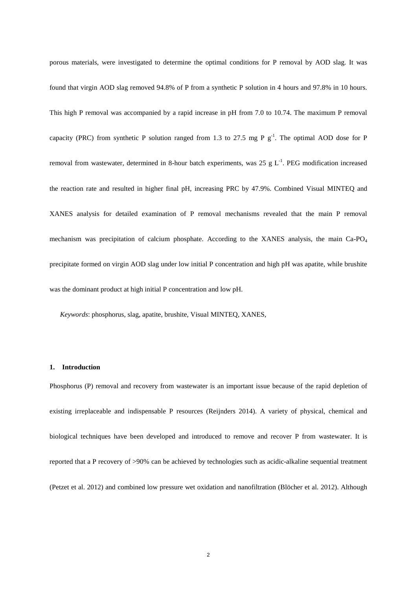porous materials, were investigated to determine the optimal conditions for P removal by AOD slag. It was found that virgin AOD slag removed 94.8% of P from a synthetic P solution in 4 hours and 97.8% in 10 hours. This high P removal was accompanied by a rapid increase in pH from 7.0 to 10.74. The maximum P removal capacity (PRC) from synthetic P solution ranged from 1.3 to 27.5 mg P  $g^{-1}$ . The optimal AOD dose for P removal from wastewater, determined in 8-hour batch experiments, was  $25 \text{ g L}^{-1}$ . PEG modification increased the reaction rate and resulted in higher final pH, increasing PRC by 47.9%. Combined Visual MINTEQ and XANES analysis for detailed examination of P removal mechanisms revealed that the main P removal mechanism was precipitation of calcium phosphate. According to the XANES analysis, the main Ca-PO<sub>4</sub> precipitate formed on virgin AOD slag under low initial P concentration and high pH was apatite, while brushite was the dominant product at high initial P concentration and low pH.

*Keywords*: phosphorus, slag, apatite, brushite, Visual MINTEQ, XANES,

#### **1. Introduction**

Phosphorus (P) removal and recovery from wastewater is an important issue because of the rapid depletion of existing irreplaceable and indispensable P resources (Reijnders 2014). A variety of physical, chemical and biological techniques have been developed and introduced to remove and recover P from wastewater. It is reported that a P recovery of >90% can be achieved by technologies such as acidic-alkaline sequential treatment (Petzet et al. 2012) and combined low pressure wet oxidation and nanofiltration (Blöcher et al. 2012). Although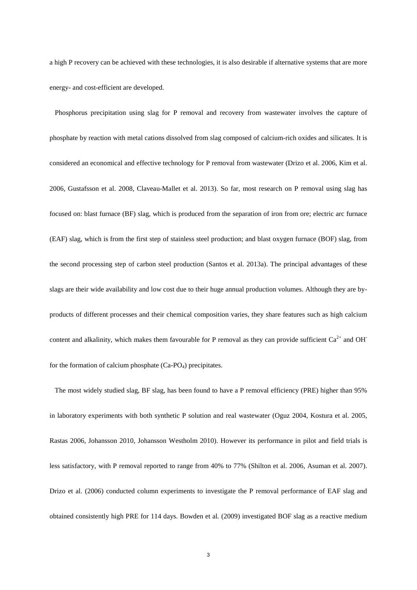a high P recovery can be achieved with these technologies, it is also desirable if alternative systems that are more energy- and cost-efficient are developed.

 Phosphorus precipitation using slag for P removal and recovery from wastewater involves the capture of phosphate by reaction with metal cations dissolved from slag composed of calcium-rich oxides and silicates. It is considered an economical and effective technology for P removal from wastewater (Drizo et al. 2006, Kim et al. 2006, Gustafsson et al. 2008, Claveau-Mallet et al. 2013). So far, most research on P removal using slag has focused on: blast furnace (BF) slag, which is produced from the separation of iron from ore; electric arc furnace (EAF) slag, which is from the first step of stainless steel production; and blast oxygen furnace (BOF) slag, from the second processing step of carbon steel production (Santos et al. 2013a). The principal advantages of these slags are their wide availability and low cost due to their huge annual production volumes. Although they are byproducts of different processes and their chemical composition varies, they share features such as high calcium content and alkalinity, which makes them favourable for P removal as they can provide sufficient  $Ca^{2+}$  and OH for the formation of calcium phosphate  $(Ca-PQ_4)$  precipitates.

 The most widely studied slag, BF slag, has been found to have a P removal efficiency (PRE) higher than 95% in laboratory experiments with both synthetic P solution and real wastewater (Oguz 2004, Kostura et al. 2005, Rastas 2006, Johansson 2010, Johansson Westholm 2010). However its performance in pilot and field trials is less satisfactory, with P removal reported to range from 40% to 77% (Shilton et al. 2006, Asuman et al. 2007). Drizo et al. (2006) conducted column experiments to investigate the P removal performance of EAF slag and obtained consistently high PRE for 114 days. Bowden et al*.* (2009) investigated BOF slag as a reactive medium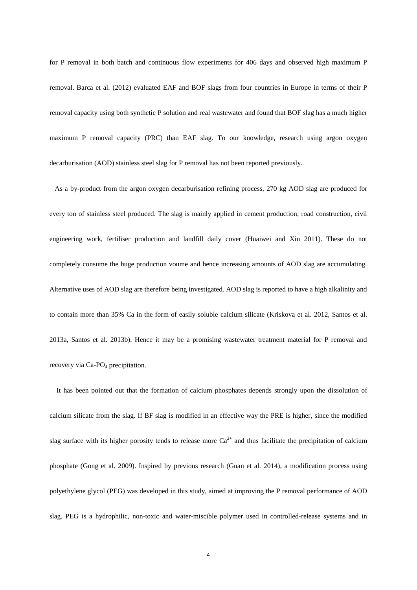for P removal in both batch and continuous flow experiments for 406 days and observed high maximum P removal. Barca et al. (2012) evaluated EAF and BOF slags from four countries in Europe in terms of their P removal capacity using both synthetic P solution and real wastewater and found that BOF slag has a much higher maximum P removal capacity (PRC) than EAF slag. To our knowledge, research using argon oxygen decarburisation (AOD) stainless steel slag for P removal has not been reported previously.

 As a by-product from the argon oxygen decarburisation refining process, 270 kg AOD slag are produced for every ton of stainless steel produced. The slag is mainly applied in cement production, road construction, civil engineering work, fertiliser production and landfill daily cover (Huaiwei and Xin 2011). These do not completely consume the huge production voume and hence increasing amounts of AOD slag are accumulating. Alternative uses of AOD slag are therefore being investigated. AOD slag is reported to have a high alkalinity and to contain more than 35% Ca in the form of easily soluble calcium silicate (Kriskova et al. 2012, Santos et al. 2013a, Santos et al. 2013b). Hence it may be a promising wastewater treatment material for P removal and recovery via  $Ca-PO<sub>4</sub>$  precipitation.

It has been pointed out that the formation of calcium phosphates depends strongly upon the dissolution of calcium silicate from the slag. If BF slag is modified in an effective way the PRE is higher, since the modified slag surface with its higher porosity tends to release more  $Ca^{2+}$  and thus facilitate the precipitation of calcium phosphate (Gong et al. 2009). Inspired by previous research (Guan et al. 2014), a modification process using polyethylene glycol (PEG) was developed in this study, aimed at improving the P removal performance of AOD slag. PEG is a hydrophilic, non-toxic and water-miscible polymer used in controlled-release systems and in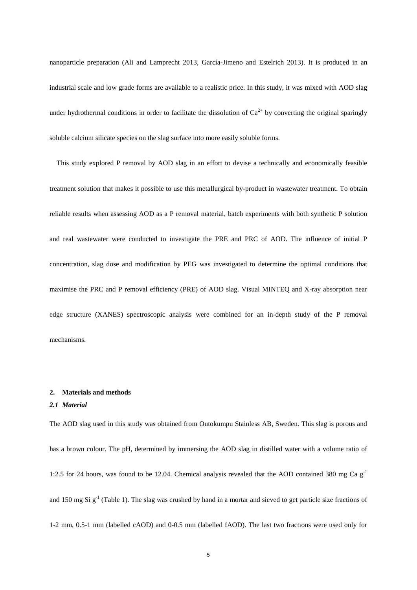nanoparticle preparation (Ali and Lamprecht 2013, García-Jimeno and Estelrich 2013). It is produced in an industrial scale and low grade forms are available to a realistic price. In this study, it was mixed with AOD slag under hydrothermal conditions in order to facilitate the dissolution of  $Ca^{2+}$  by converting the original sparingly soluble calcium silicate species on the slag surface into more easily soluble forms.

This study explored P removal by AOD slag in an effort to devise a technically and economically feasible treatment solution that makes it possible to use this metallurgical by-product in wastewater treatment. To obtain reliable results when assessing AOD as a P removal material, batch experiments with both synthetic P solution and real wastewater were conducted to investigate the PRE and PRC of AOD. The influence of initial P concentration, slag dose and modification by PEG was investigated to determine the optimal conditions that maximise the PRC and P removal efficiency (PRE) of AOD slag. Visual MINTEQ and X-ray absorption near edge structure (XANES) spectroscopic analysis were combined for an in-depth study of the P removal mechanisms.

#### **2. Materials and methods**

#### *2.1 Material*

The AOD slag used in this study was obtained from Outokumpu Stainless AB, Sweden. This slag is porous and has a brown colour. The pH, determined by immersing the AOD slag in distilled water with a volume ratio of 1:2.5 for 24 hours, was found to be 12.04. Chemical analysis revealed that the AOD contained 380 mg Ca  $g^{-1}$ and 150 mg Si  $g^{-1}$  (Table 1). The slag was crushed by hand in a mortar and sieved to get particle size fractions of 1-2 mm, 0.5-1 mm (labelled cAOD) and 0-0.5 mm (labelled fAOD). The last two fractions were used only for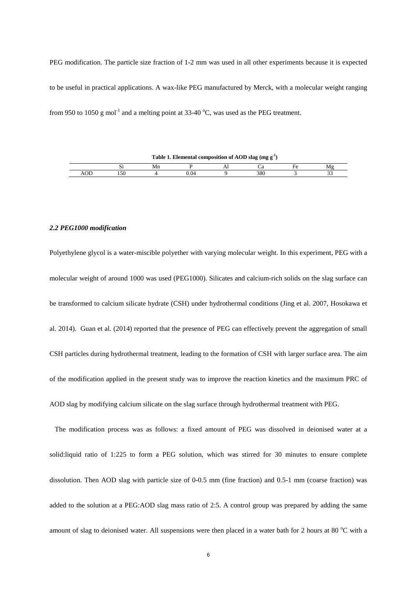PEG modification. The particle size fraction of 1-2 mm was used in all other experiments because it is expected to be useful in practical applications. A wax-like PEG manufactured by Merck, with a molecular weight ranging from 950 to 1050 g mol<sup>-1</sup> and a melting point at 33-40 °C, was used as the PEG treatment.

|                           | Table 1. Elemental composition of AOD slag (mg $g^{-1}$ ) |    |     |  |     |  |    |  |
|---------------------------|-----------------------------------------------------------|----|-----|--|-----|--|----|--|
|                           | ບ                                                         | Мn |     |  |     |  | M₫ |  |
| $\Lambda$ $\cap$ $\Gamma$ |                                                           |    | .04 |  | 380 |  |    |  |

#### *2.2 PEG1000 modification*

Polyethylene glycol is a water-miscible polyether with varying molecular weight. In this experiment, PEG with a molecular weight of around 1000 was used (PEG1000). Silicates and calcium-rich solids on the slag surface can be transformed to calcium silicate hydrate (CSH) under hydrothermal conditions (Jing et al. 2007, Hosokawa et al. 2014). Guan et al. (2014) reported that the presence of PEG can effectively prevent the aggregation of small CSH particles during hydrothermal treatment, leading to the formation of CSH with larger surface area. The aim of the modification applied in the present study was to improve the reaction kinetics and the maximum PRC of AOD slag by modifying calcium silicate on the slag surface through hydrothermal treatment with PEG.

 The modification process was as follows: a fixed amount of PEG was dissolved in deionised water at a solid:liquid ratio of 1:225 to form a PEG solution, which was stirred for 30 minutes to ensure complete dissolution. Then AOD slag with particle size of 0-0.5 mm (fine fraction) and 0.5-1 mm (coarse fraction) was added to the solution at a PEG:AOD slag mass ratio of 2:5. A control group was prepared by adding the same amount of slag to deionised water. All suspensions were then placed in a water bath for 2 hours at 80 °C with a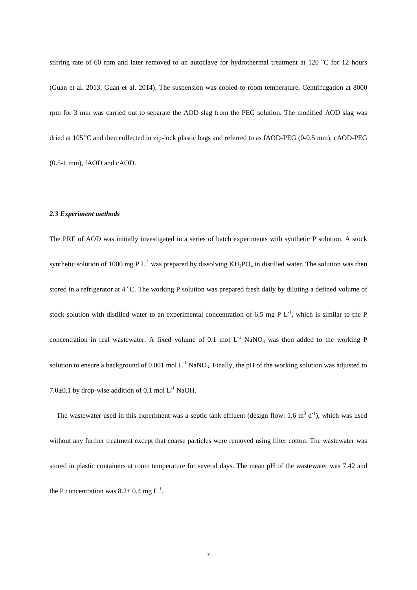stirring rate of 60 rpm and later removed to an autoclave for hydrothermal treatment at 120  $^{\circ}$ C for 12 hours (Guan et al. 2013, Guan et al. 2014). The suspension was cooled to room temperature. Centrifugation at 8000 rpm for 3 min was carried out to separate the AOD slag from the PEG solution. The modified AOD slag was dried at 105 °C and then collected in zip-lock plastic bags and referred to as fAOD-PEG (0-0.5 mm), cAOD-PEG (0.5-1 mm), fAOD and cAOD.

#### *2.3 Experiment methods*

The PRE of AOD was initially investigated in a series of batch experiments with synthetic P solution. A stock synthetic solution of 1000 mg P  $L^{-1}$  was prepared by dissolving  $KH_2PO_4$  in distilled water. The solution was then stored in a refrigerator at 4  $\rm{°C}$ . The working P solution was prepared fresh daily by diluting a defined volume of stock solution with distilled water to an experimental concentration of 6.5 mg P  $L^{-1}$ , which is similar to the P concentration in real wastewater. A fixed volume of 0.1 mol  $L^{-1}$  NaNO<sub>3</sub> was then added to the working P solution to ensure a background of 0.001 mol  $L^{-1}$  NaNO<sub>3</sub>. Finally, the pH of the working solution was adjusted to 7.0 $\pm$ 0.1 by drop-wise addition of 0.1 mol L<sup>-1</sup> NaOH.

The wastewater used in this experiment was a septic tank effluent (design flow: 1.6  $m<sup>3</sup> d<sup>-1</sup>$ ), which was used without any further treatment except that coarse particles were removed using filter cotton. The wastewater was stored in plastic containers at room temperature for several days. The mean pH of the wastewater was 7.42 and the P concentration was  $8.2 \pm 0.4$  mg L<sup>-1</sup>.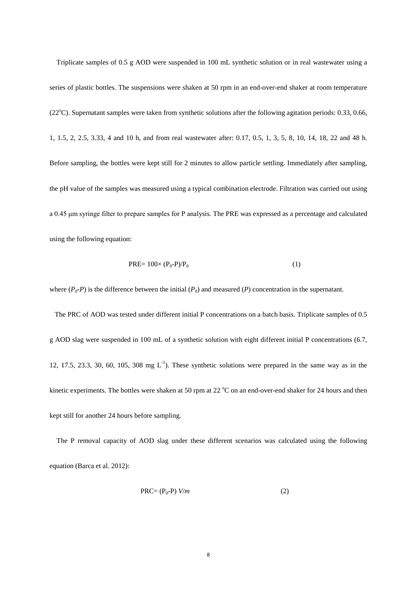Triplicate samples of 0.5 g AOD were suspended in 100 mL synthetic solution or in real wastewater using a series of plastic bottles. The suspensions were shaken at 50 rpm in an end-over-end shaker at room temperature (22°C). Supernatant samples were taken from synthetic solutions after the following agitation periods: 0.33, 0.66, 1, 1.5, 2, 2.5, 3.33, 4 and 10 h, and from real wastewater after: 0.17, 0.5, 1, 3, 5, 8, 10, 14, 18, 22 and 48 h. Before sampling, the bottles were kept still for 2 minutes to allow particle settling. Immediately after sampling, the pH value of the samples was measured using a typical combination electrode. Filtration was carried out using a 0.45 μm syringe filter to prepare samples for P analysis. The PRE was expressed as a percentage and calculated using the following equation:

$$
PRE = 100 \times (P_0 - P)/P_0 \tag{1}
$$

where  $(P_0-P)$  is the difference between the initial  $(P_0)$  and measured  $(P)$  concentration in the supernatant.

 The PRC of AOD was tested under different initial P concentrations on a batch basis. Triplicate samples of 0.5 g AOD slag were suspended in 100 mL of a synthetic solution with eight different initial P concentrations (6.7, 12, 17.5, 23.3, 30, 60, 105, 308 mg  $L^{-1}$ ). These synthetic solutions were prepared in the same way as in the kinetic experiments. The bottles were shaken at 50 rpm at 22  $^{\circ}$ C on an end-over-end shaker for 24 hours and then kept still for another 24 hours before sampling.

The P removal capacity of AOD slag under these different scenarios was calculated using the following equation (Barca et al*.* 2012):

$$
PRC = (P_0 - P) V/m
$$
 (2)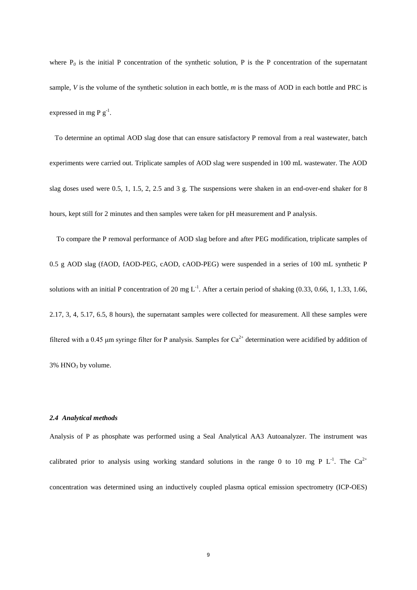where  $P_0$  is the initial P concentration of the synthetic solution, P is the P concentration of the supernatant sample, *V* is the volume of the synthetic solution in each bottle, *m* is the mass of AOD in each bottle and PRC is expressed in mg P  $g^{-1}$ .

 To determine an optimal AOD slag dose that can ensure satisfactory P removal from a real wastewater, batch experiments were carried out. Triplicate samples of AOD slag were suspended in 100 mL wastewater. The AOD slag doses used were 0.5, 1, 1.5, 2, 2.5 and 3 g. The suspensions were shaken in an end-over-end shaker for 8 hours, kept still for 2 minutes and then samples were taken for pH measurement and P analysis.

To compare the P removal performance of AOD slag before and after PEG modification, triplicate samples of 0.5 g AOD slag (fAOD, fAOD-PEG, cAOD, cAOD-PEG) were suspended in a series of 100 mL synthetic P solutions with an initial P concentration of 20 mg  $L^{-1}$ . After a certain period of shaking (0.33, 0.66, 1, 1.33, 1.66, 2.17, 3, 4, 5.17, 6.5, 8 hours), the supernatant samples were collected for measurement. All these samples were filtered with a 0.45 µm syringe filter for P analysis. Samples for  $Ca^{2+}$  determination were acidified by addition of  $3\%$  HNO<sub>3</sub> by volume.

#### *2.4 Analytical methods*

Analysis of P as phosphate was performed using a Seal Analytical AA3 Autoanalyzer. The instrument was calibrated prior to analysis using working standard solutions in the range 0 to 10 mg P  $L^{-1}$ . The Ca<sup>2+</sup> concentration was determined using an inductively coupled plasma optical emission spectrometry (ICP-OES)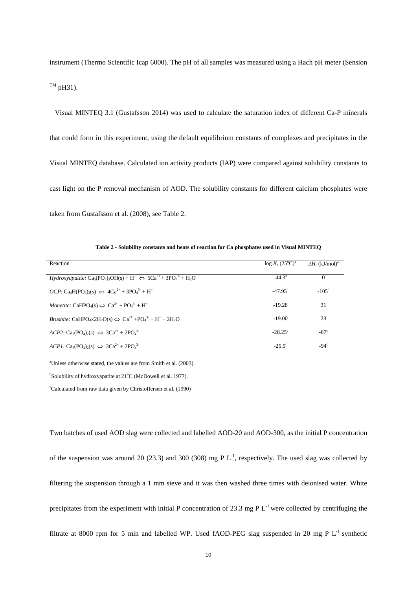instrument (Thermo Scientific Icap 6000). The pH of all samples was measured using a Hach pH meter (Sension  $T^M$  pH31).

 Visual MINTEQ 3.1 (Gustafsson 2014) was used to calculate the saturation index of different Ca-P minerals that could form in this experiment, using the default equilibrium constants of complexes and precipitates in the Visual MINTEQ database. Calculated ion activity products (IAP) were compared against solubility constants to cast light on the P removal mechanism of AOD. The solubility constants for different calcium phosphates were taken from Gustafsson et al. (2008), see Table 2.

| Reaction                                                                                                                                                         | $\log K_s (25^{\circ} \text{C})^{\text{a}}$ | $\Delta H_r$ (kJ/mol) <sup>a</sup> |
|------------------------------------------------------------------------------------------------------------------------------------------------------------------|---------------------------------------------|------------------------------------|
| $Hydroxyapatite$ : $Ca_5(PO_4)_3OH(s) + H^+ \Leftrightarrow 5Ca^{2+} + 3PO_4^{3+} + H_2O$                                                                        | $-44.3b$                                    | $\Omega$                           |
| $OCP: Ca4H(PO4)3(s) \Leftrightarrow 4Ca2+ + 3PO43+ + H+$                                                                                                         | $-47.95^{\circ}$                            | $-105^\circ$                       |
| Monetite: CaHPO <sub>4</sub> (s) $\Leftrightarrow$ Ca <sup>2+</sup> + PO <sub>4</sub> <sup>3-</sup> + H <sup>+</sup>                                             | $-19.28$                                    | 31                                 |
| <i>Brushite:</i> CaHPO <sub>4</sub> ×2H <sub>2</sub> O(s) $\Leftrightarrow$ Ca <sup>2+</sup> +PO <sub>4</sub> <sup>3-</sup> + H <sup>+</sup> + 2H <sub>2</sub> O | $-19.00$                                    | 23                                 |
| $ACP2$ : Ca <sub>3</sub> (PO <sub>4</sub> ) <sub>2</sub> (s) $\Leftrightarrow$ 3Ca <sup>2+</sup> + 2PO <sub>4</sub> <sup>3-</sup>                                | $-28.25^{\circ}$                            | $-87c$                             |
| $ACPI: \text{Ca}_3(\text{PO}_4)_2(\text{s}) \Leftrightarrow 3\text{Ca}^{2+} + 2\text{PO}_4^{3-}$                                                                 | $-25.5^{\circ}$                             | $-94^\circ$                        |

**Table 2 - Solubility constants and heats of reaction for Ca phosphates used in Visual MINTEQ**

a Unless otherwise stated, the values are from Smith et al. (2003).

<sup>b</sup>Solubility of hydroxyapatite at 21°C (McDowell et al. 1977).

c Calculated from raw data given by Christoffersen et al. (1990)

Two batches of used AOD slag were collected and labelled AOD-20 and AOD-300, as the initial P concentration of the suspension was around 20 (23.3) and 300 (308) mg P  $L^{-1}$ , respectively. The used slag was collected by filtering the suspension through a 1 mm sieve and it was then washed three times with deionised water. White precipitates from the experiment with initial P concentration of 23.3 mg P  $L^{-1}$  were collected by centrifuging the filtrate at 8000 rpm for 5 min and labelled WP. Used fAOD-PEG slag suspended in 20 mg P L<sup>-1</sup> synthetic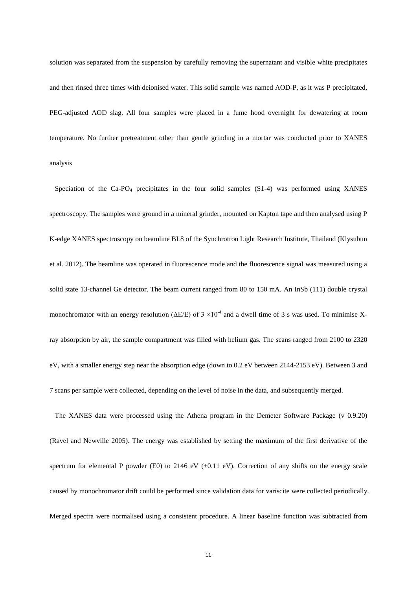solution was separated from the suspension by carefully removing the supernatant and visible white precipitates and then rinsed three times with deionised water. This solid sample was named AOD-P, as it was P precipitated, PEG-adjusted AOD slag. All four samples were placed in a fume hood overnight for dewatering at room temperature. No further pretreatment other than gentle grinding in a mortar was conducted prior to XANES analysis

Speciation of the  $Ca-PO<sub>4</sub>$  precipitates in the four solid samples  $(S1-4)$  was performed using XANES spectroscopy. The samples were ground in a mineral grinder, mounted on Kapton tape and then analysed using P K-edge XANES spectroscopy on beamline BL8 of the Synchrotron Light Research Institute, Thailand (Klysubun et al. 2012). The beamline was operated in fluorescence mode and the fluorescence signal was measured using a solid state 13-channel Ge detector. The beam current ranged from 80 to 150 mA. An InSb (111) double crystal monochromator with an energy resolution ( $\Delta E/E$ ) of 3 ×10<sup>-4</sup> and a dwell time of 3 s was used. To minimise Xray absorption by air, the sample compartment was filled with helium gas. The scans ranged from 2100 to 2320 eV, with a smaller energy step near the absorption edge (down to 0.2 eV between 2144-2153 eV). Between 3 and 7 scans per sample were collected, depending on the level of noise in the data, and subsequently merged.

 The XANES data were processed using the Athena program in the Demeter Software Package (v 0.9.20) (Ravel and Newville 2005). The energy was established by setting the maximum of the first derivative of the spectrum for elemental P powder (E0) to 2146 eV ( $\pm$ 0.11 eV). Correction of any shifts on the energy scale caused by monochromator drift could be performed since validation data for variscite were collected periodically. Merged spectra were normalised using a consistent procedure. A linear baseline function was subtracted from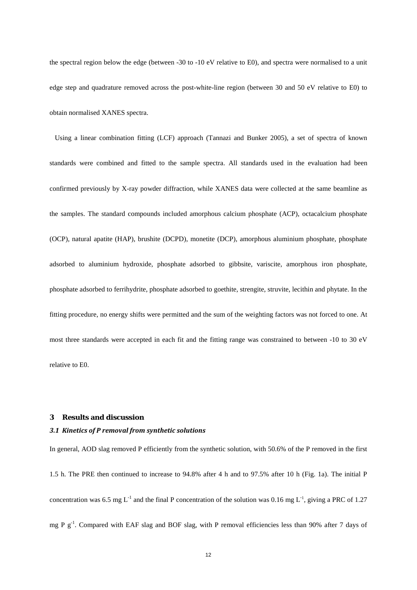the spectral region below the edge (between -30 to -10 eV relative to E0), and spectra were normalised to a unit edge step and quadrature removed across the post-white-line region (between 30 and 50 eV relative to E0) to obtain normalised XANES spectra.

 Using a linear combination fitting (LCF) approach (Tannazi and Bunker 2005), a set of spectra of known standards were combined and fitted to the sample spectra. All standards used in the evaluation had been confirmed previously by X-ray powder diffraction, while XANES data were collected at the same beamline as the samples. The standard compounds included amorphous calcium phosphate (ACP), octacalcium phosphate (OCP), natural apatite (HAP), brushite (DCPD), monetite (DCP), amorphous aluminium phosphate, phosphate adsorbed to aluminium hydroxide, phosphate adsorbed to gibbsite, variscite, amorphous iron phosphate, phosphate adsorbed to ferrihydrite, phosphate adsorbed to goethite, strengite, struvite, lecithin and phytate. In the fitting procedure, no energy shifts were permitted and the sum of the weighting factors was not forced to one. At most three standards were accepted in each fit and the fitting range was constrained to between -10 to 30 eV relative to E0.

#### **3 Results and discussion**

#### *3.1 Kinetics of P removal from synthetic solutions*

In general, AOD slag removed P efficiently from the synthetic solution, with 50.6% of the P removed in the first 1.5 h. The PRE then continued to increase to 94.8% after 4 h and to 97.5% after 10 h (Fig. 1a). The initial P concentration was 6.5 mg L<sup>-1</sup> and the final P concentration of the solution was 0.16 mg L<sup>-1</sup>, giving a PRC of 1.27 mg P g<sup>-1</sup>. Compared with EAF slag and BOF slag, with P removal efficiencies less than 90% after 7 days of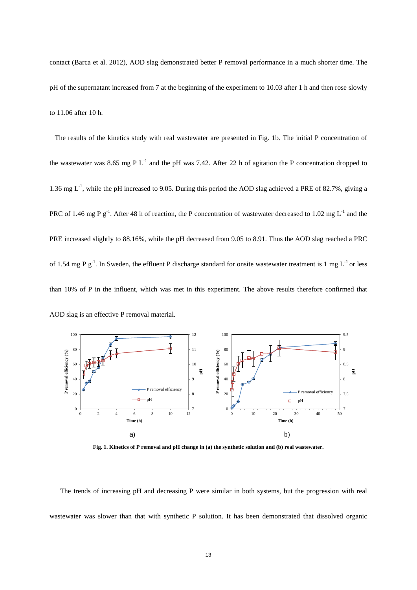contact (Barca et al. 2012), AOD slag demonstrated better P removal performance in a much shorter time. The pH of the supernatant increased from 7 at the beginning of the experiment to 10.03 after 1 h and then rose slowly to 11.06 after 10 h.

 The results of the kinetics study with real wastewater are presented in Fig. 1b. The initial P concentration of the wastewater was 8.65 mg P  $L^{-1}$  and the pH was 7.42. After 22 h of agitation the P concentration dropped to 1.36 mg  $L^{-1}$ , while the pH increased to 9.05. During this period the AOD slag achieved a PRE of 82.7%, giving a PRC of 1.46 mg P  $g^{-1}$ . After 48 h of reaction, the P concentration of wastewater decreased to 1.02 mg  $L^{-1}$  and the PRE increased slightly to 88.16%, while the pH decreased from 9.05 to 8.91. Thus the AOD slag reached a PRC of 1.54 mg P  $g^{-1}$ . In Sweden, the effluent P discharge standard for onsite wastewater treatment is 1 mg  $L^{-1}$  or less than 10% of P in the influent, which was met in this experiment. The above results therefore confirmed that AOD slag is an effective P removal material.



**Fig. 1. Kinetics of P removal and pH change in (a) the synthetic solution and (b) real wastewater.**

The trends of increasing pH and decreasing P were similar in both systems, but the progression with real wastewater was slower than that with synthetic P solution. It has been demonstrated that dissolved organic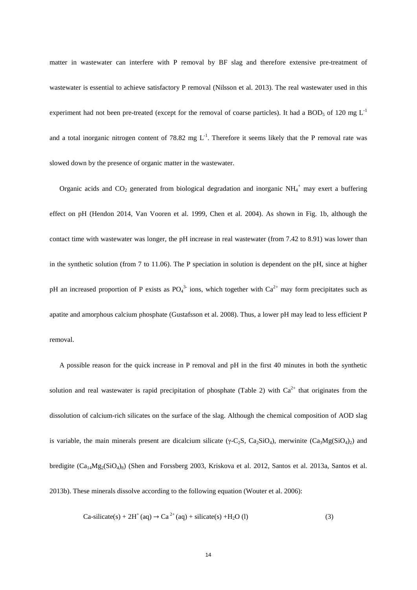matter in wastewater can interfere with P removal by BF slag and therefore extensive pre-treatment of wastewater is essential to achieve satisfactory P removal (Nilsson et al. 2013). The real wastewater used in this experiment had not been pre-treated (except for the removal of coarse particles). It had a BOD<sub>5</sub> of 120 mg  $L^{-1}$ and a total inorganic nitrogen content of 78.82 mg  $L^{-1}$ . Therefore it seems likely that the P removal rate was slowed down by the presence of organic matter in the wastewater.

Organic acids and  $CO_2$  generated from biological degradation and inorganic  $NH_4^+$  may exert a buffering effect on pH (Hendon 2014, Van Vooren et al. 1999, Chen et al. 2004). As shown in Fig. 1b, although the contact time with wastewater was longer, the pH increase in real wastewater (from 7.42 to 8.91) was lower than in the synthetic solution (from 7 to 11.06). The P speciation in solution is dependent on the pH, since at higher pH an increased proportion of P exists as  $PO_4^{3}$  ions, which together with  $Ca^{2+}$  may form precipitates such as apatite and amorphous calcium phosphate (Gustafsson et al. 2008). Thus, a lower pH may lead to less efficient P removal.

A possible reason for the quick increase in P removal and pH in the first 40 minutes in both the synthetic solution and real wastewater is rapid precipitation of phosphate (Table 2) with  $Ca^{2+}$  that originates from the dissolution of calcium-rich silicates on the surface of the slag. Although the chemical composition of AOD slag is variable, the main minerals present are dicalcium silicate ( $\gamma$ -C<sub>2</sub>S, Ca<sub>2</sub>SiO<sub>4</sub>), merwinite (Ca<sub>3</sub>Mg(SiO<sub>4</sub>)<sub>2</sub>) and bredigite  $(Ca_{14}Mg_2(SiO_4)_8)$  (Shen and Forssberg 2003, Kriskova et al. 2012, Santos et al. 2013a, Santos et al. 2013b). These minerals dissolve according to the following equation (Wouter et al. 2006):

$$
Ca-silicate(s) + 2H^{+}(aq) \rightarrow Ca^{2+}(aq) + silicate(s) + H_{2}O (l)
$$
\n(3)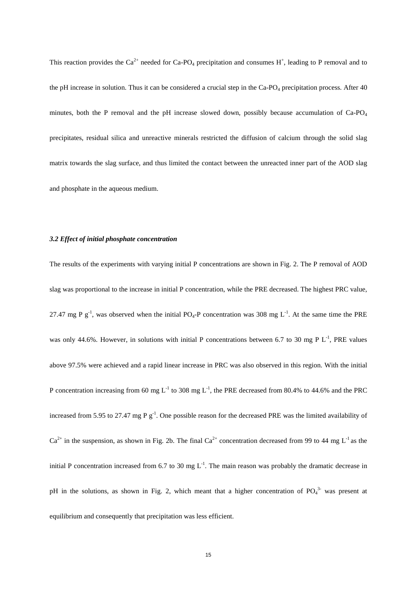This reaction provides the  $Ca^{2+}$  needed for Ca-PO<sub>4</sub> precipitation and consumes H<sup>+</sup>, leading to P removal and to the pH increase in solution. Thus it can be considered a crucial step in the Ca-PO<sub>4</sub> precipitation process. After 40 minutes, both the P removal and the pH increase slowed down, possibly because accumulation of Ca-PO<sub>4</sub> precipitates, residual silica and unreactive minerals restricted the diffusion of calcium through the solid slag matrix towards the slag surface, and thus limited the contact between the unreacted inner part of the AOD slag and phosphate in the aqueous medium.

#### *3.2 Effect of initial phosphate concentration*

The results of the experiments with varying initial P concentrations are shown in Fig. 2. The P removal of AOD slag was proportional to the increase in initial P concentration, while the PRE decreased. The highest PRC value, 27.47 mg P  $g^{-1}$ , was observed when the initial PO<sub>4</sub>-P concentration was 308 mg L<sup>-1</sup>. At the same time the PRE was only 44.6%. However, in solutions with initial P concentrations between 6.7 to 30 mg P  $L^{-1}$ , PRE values above 97.5% were achieved and a rapid linear increase in PRC was also observed in this region. With the initial P concentration increasing from 60 mg  $L^{-1}$  to 308 mg  $L^{-1}$ , the PRE decreased from 80.4% to 44.6% and the PRC increased from 5.95 to 27.47 mg P  $g^{-1}$ . One possible reason for the decreased PRE was the limited availability of  $Ca^{2+}$  in the suspension, as shown in Fig. 2b. The final  $Ca^{2+}$  concentration decreased from 99 to 44 mg L<sup>-1</sup> as the initial P concentration increased from 6.7 to 30 mg  $L^{-1}$ . The main reason was probably the dramatic decrease in pH in the solutions, as shown in Fig. 2, which meant that a higher concentration of  $PO<sub>4</sub><sup>3</sup>$  was present at equilibrium and consequently that precipitation was less efficient.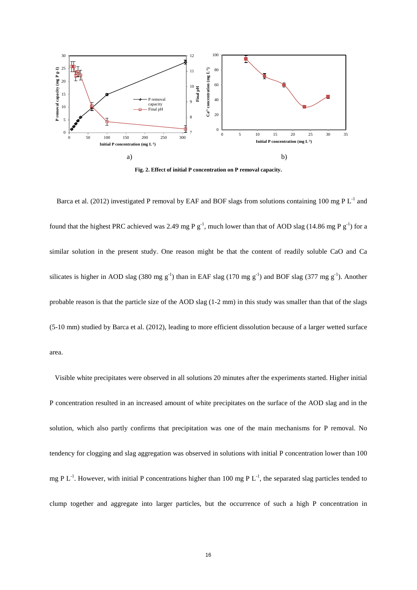

**Fig. 2. Effect of initial P concentration on P removal capacity.**

Barca et al. (2012) investigated P removal by EAF and BOF slags from solutions containing 100 mg P L<sup>-1</sup> and found that the highest PRC achieved was 2.49 mg P  $g^{-1}$ , much lower than that of AOD slag (14.86 mg P  $g^{-1}$ ) for a similar solution in the present study. One reason might be that the content of readily soluble CaO and Ca silicates is higher in AOD slag (380 mg  $g^{-1}$ ) than in EAF slag (170 mg  $g^{-1}$ ) and BOF slag (377 mg  $g^{-1}$ ). Another probable reason is that the particle size of the AOD slag (1-2 mm) in this study was smaller than that of the slags (5-10 mm) studied by Barca et al. (2012), leading to more efficient dissolution because of a larger wetted surface area.

 Visible white precipitates were observed in all solutions 20 minutes after the experiments started. Higher initial P concentration resulted in an increased amount of white precipitates on the surface of the AOD slag and in the solution, which also partly confirms that precipitation was one of the main mechanisms for P removal. No tendency for clogging and slag aggregation was observed in solutions with initial P concentration lower than 100 mg P  $L^{-1}$ . However, with initial P concentrations higher than 100 mg P  $L^{-1}$ , the separated slag particles tended to clump together and aggregate into larger particles, but the occurrence of such a high P concentration in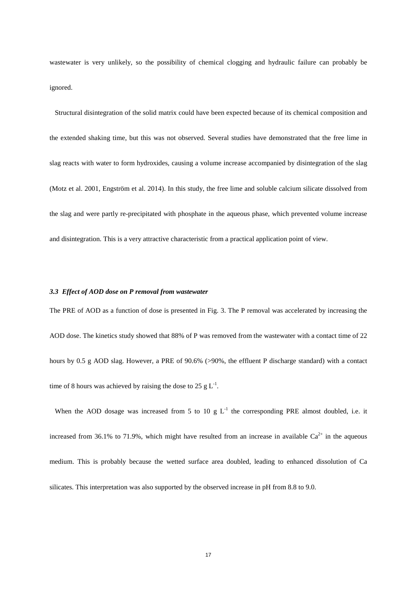wastewater is very unlikely, so the possibility of chemical clogging and hydraulic failure can probably be ignored.

 Structural disintegration of the solid matrix could have been expected because of its chemical composition and the extended shaking time, but this was not observed. Several studies have demonstrated that the free lime in slag reacts with water to form hydroxides, causing a volume increase accompanied by disintegration of the slag (Motz et al. 2001, Engström et al. 2014). In this study, the free lime and soluble calcium silicate dissolved from the slag and were partly re-precipitated with phosphate in the aqueous phase, which prevented volume increase and disintegration. This is a very attractive characteristic from a practical application point of view.

#### *3.3 Effect of AOD dose on P removal from wastewater*

The PRE of AOD as a function of dose is presented in Fig. 3. The P removal was accelerated by increasing the AOD dose. The kinetics study showed that 88% of P was removed from the wastewater with a contact time of 22 hours by 0.5 g AOD slag. However, a PRE of 90.6% (>90%, the effluent P discharge standard) with a contact time of 8 hours was achieved by raising the dose to 25 g  $L^{-1}$ .

When the AOD dosage was increased from 5 to 10 g  $L^{-1}$  the corresponding PRE almost doubled, i.e. it increased from 36.1% to 71.9%, which might have resulted from an increase in available  $Ca^{2+}$  in the aqueous medium. This is probably because the wetted surface area doubled, leading to enhanced dissolution of Ca silicates. This interpretation was also supported by the observed increase in pH from 8.8 to 9.0.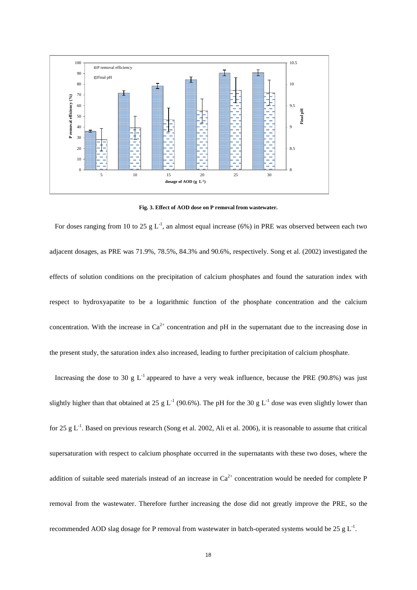

**Fig. 3. Effect of AOD dose on P removal from wastewater.**

For doses ranging from 10 to 25 g  $L^{-1}$ , an almost equal increase (6%) in PRE was observed between each two adjacent dosages, as PRE was 71.9%, 78.5%, 84.3% and 90.6%, respectively. Song et al. (2002) investigated the effects of solution conditions on the precipitation of calcium phosphates and found the saturation index with respect to hydroxyapatite to be a logarithmic function of the phosphate concentration and the calcium concentration. With the increase in  $Ca^{2+}$  concentration and pH in the supernatant due to the increasing dose in the present study, the saturation index also increased, leading to further precipitation of calcium phosphate.

Increasing the dose to 30 g L<sup>-1</sup> appeared to have a very weak influence, because the PRE (90.8%) was just slightly higher than that obtained at 25 g  $L^{-1}$  (90.6%). The pH for the 30 g  $L^{-1}$  dose was even slightly lower than for 25 g  $L^{-1}$ . Based on previous research (Song et al. 2002, Ali et al. 2006), it is reasonable to assume that critical supersaturation with respect to calcium phosphate occurred in the supernatants with these two doses, where the addition of suitable seed materials instead of an increase in  $Ca^{2+}$  concentration would be needed for complete P removal from the wastewater. Therefore further increasing the dose did not greatly improve the PRE, so the recommended AOD slag dosage for P removal from wastewater in batch-operated systems would be 25  $g L^{-1}$ .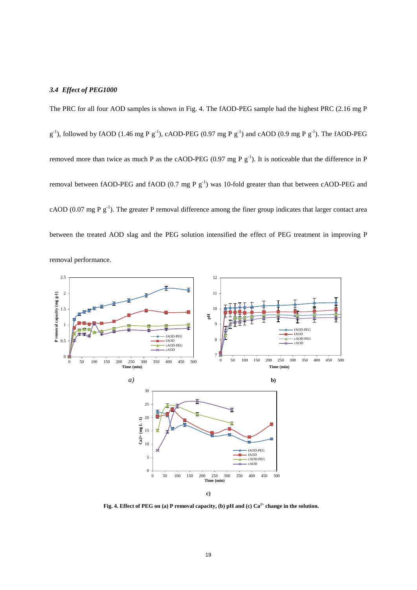#### *3.4 Effect of PEG1000*

The PRC for all four AOD samples is shown in Fig. 4. The fAOD-PEG sample had the highest PRC (2.16 mg P  $g^{-1}$ ), followed by fAOD (1.46 mg P  $g^{-1}$ ), cAOD-PEG (0.97 mg P  $g^{-1}$ ) and cAOD (0.9 mg P  $g^{-1}$ ). The fAOD-PEG removed more than twice as much P as the cAOD-PEG (0.97 mg P  $g^{-1}$ ). It is noticeable that the difference in P removal between fAOD-PEG and fAOD  $(0.7 \text{ mg P g}^{-1})$  was 10-fold greater than that between cAOD-PEG and cAOD (0.07 mg P  $g^{-1}$ ). The greater P removal difference among the finer group indicates that larger contact area between the treated AOD slag and the PEG solution intensified the effect of PEG treatment in improving P removal performance.



**Fig. 4. Effect of PEG on (a) P removal capacity, (b) pH and (c) Ca2+ change in the solution.**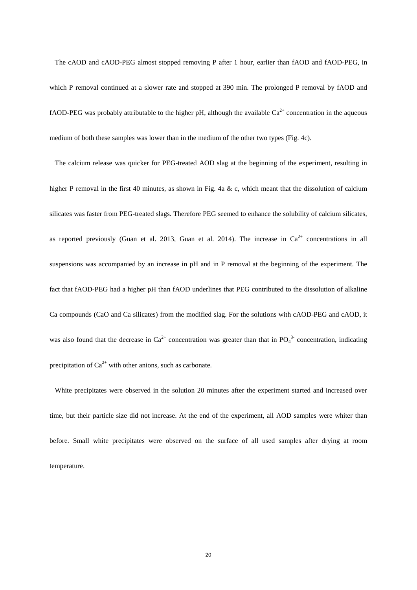The cAOD and cAOD-PEG almost stopped removing P after 1 hour, earlier than fAOD and fAOD-PEG, in which P removal continued at a slower rate and stopped at 390 min. The prolonged P removal by fAOD and fAOD-PEG was probably attributable to the higher pH, although the available  $Ca^{2+}$  concentration in the aqueous medium of both these samples was lower than in the medium of the other two types (Fig. 4c).

 The calcium release was quicker for PEG-treated AOD slag at the beginning of the experiment, resulting in higher P removal in the first 40 minutes, as shown in Fig. 4a  $\&c$ , which meant that the dissolution of calcium silicates was faster from PEG-treated slags. Therefore PEG seemed to enhance the solubility of calcium silicates, as reported previously (Guan et al. 2013, Guan et al. 2014). The increase in  $Ca^{2+}$  concentrations in all suspensions was accompanied by an increase in pH and in P removal at the beginning of the experiment. The fact that fAOD-PEG had a higher pH than fAOD underlines that PEG contributed to the dissolution of alkaline Ca compounds (CaO and Ca silicates) from the modified slag. For the solutions with cAOD-PEG and cAOD, it was also found that the decrease in  $Ca^{2+}$  concentration was greater than that in PO $_4^{3-}$  concentration, indicating precipitation of  $Ca^{2+}$  with other anions, such as carbonate.

White precipitates were observed in the solution 20 minutes after the experiment started and increased over time, but their particle size did not increase. At the end of the experiment, all AOD samples were whiter than before. Small white precipitates were observed on the surface of all used samples after drying at room temperature.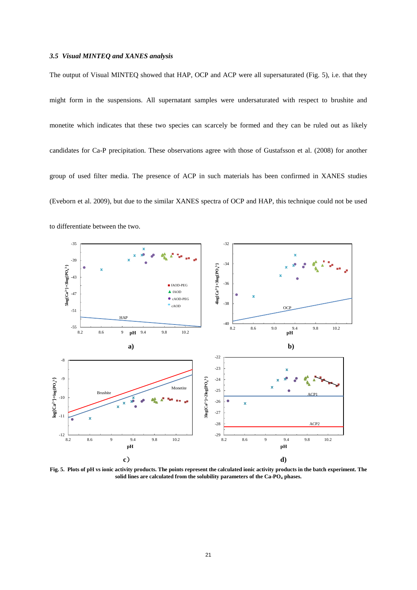#### *3.5 Visual MINTEQ and XANES analysis*

The output of Visual MINTEQ showed that HAP, OCP and ACP were all supersaturated (Fig. 5), i.e. that they might form in the suspensions. All supernatant samples were undersaturated with respect to brushite and monetite which indicates that these two species can scarcely be formed and they can be ruled out as likely candidates for Ca-P precipitation. These observations agree with those of Gustafsson et al. (2008) for another group of used filter media. The presence of ACP in such materials has been confirmed in XANES studies (Eveborn et al. 2009), but due to the similar XANES spectra of OCP and HAP, this technique could not be used to differentiate between the two.



**Fig. 5. Plots of pH vs ionic activity products. The points represent the calculated ionic activity products in the batch experiment. The solid lines are calculated from the solubility parameters of the Ca-PO4 phases.**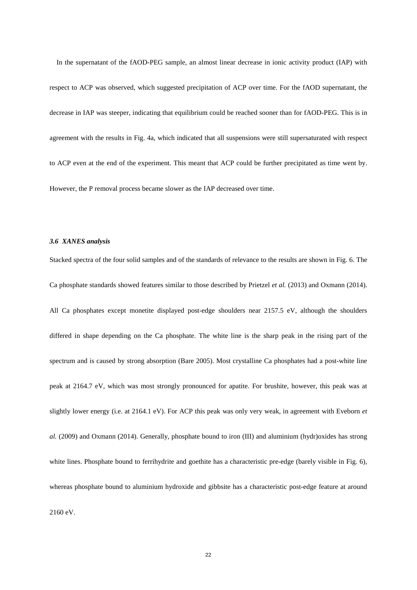In the supernatant of the fAOD-PEG sample, an almost linear decrease in ionic activity product (IAP) with respect to ACP was observed, which suggested precipitation of ACP over time. For the fAOD supernatant, the decrease in IAP was steeper, indicating that equilibrium could be reached sooner than for fAOD-PEG. This is in agreement with the results in Fig. 4a, which indicated that all suspensions were still supersaturated with respect to ACP even at the end of the experiment. This meant that ACP could be further precipitated as time went by. However, the P removal process became slower as the IAP decreased over time.

#### *3.6 XANES analysis*

Stacked spectra of the four solid samples and of the standards of relevance to the results are shown in Fig. 6. The Ca phosphate standards showed features similar to those described by Prietzel *et al.* (2013) and Oxmann (2014). All Ca phosphates except monetite displayed post-edge shoulders near 2157.5 eV, although the shoulders differed in shape depending on the Ca phosphate. The white line is the sharp peak in the rising part of the spectrum and is caused by strong absorption (Bare 2005). Most crystalline Ca phosphates had a post-white line peak at 2164.7 eV, which was most strongly pronounced for apatite. For brushite, however, this peak was at slightly lower energy (i.e. at 2164.1 eV). For ACP this peak was only very weak, in agreement with Eveborn *et al.* (2009) and Oxmann (2014). Generally, phosphate bound to iron (III) and aluminium (hydr)oxides has strong white lines. Phosphate bound to ferrihydrite and goethite has a characteristic pre-edge (barely visible in Fig. 6), whereas phosphate bound to aluminium hydroxide and gibbsite has a characteristic post-edge feature at around 2160 eV.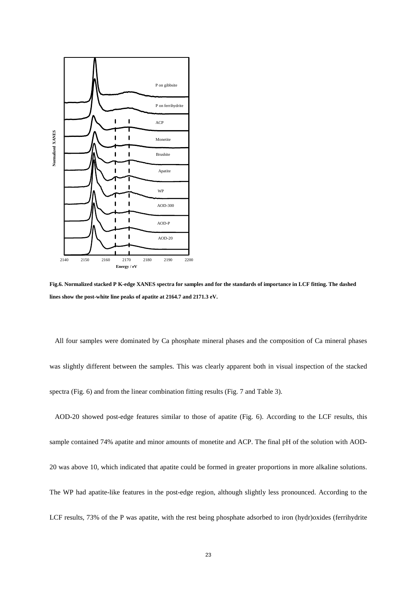

**Fig.6. Normalized stacked P K-edge XANES spectra for samples and for the standards of importance in LCF fitting. The dashed lines show the post-white line peaks of apatite at 2164.7 and 2171.3 eV.**

 All four samples were dominated by Ca phosphate mineral phases and the composition of Ca mineral phases was slightly different between the samples. This was clearly apparent both in visual inspection of the stacked spectra (Fig. 6) and from the linear combination fitting results (Fig. 7 and Table 3).

 AOD-20 showed post-edge features similar to those of apatite (Fig. 6). According to the LCF results, this sample contained 74% apatite and minor amounts of monetite and ACP. The final pH of the solution with AOD-20 was above 10, which indicated that apatite could be formed in greater proportions in more alkaline solutions. The WP had apatite-like features in the post-edge region, although slightly less pronounced. According to the LCF results, 73% of the P was apatite, with the rest being phosphate adsorbed to iron (hydr)oxides (ferrihydrite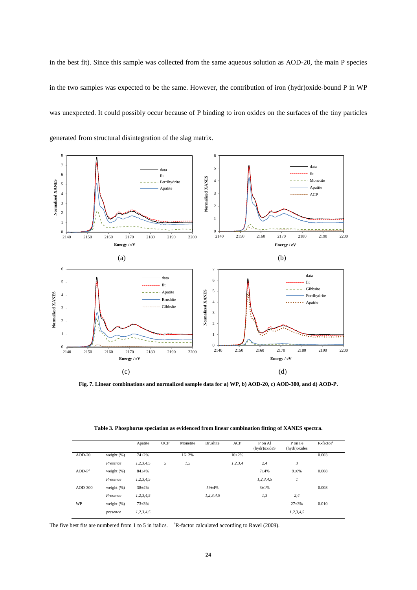in the best fit). Since this sample was collected from the same aqueous solution as AOD-20, the main P species in the two samples was expected to be the same. However, the contribution of iron (hydr)oxide-bound P in WP was unexpected. It could possibly occur because of P binding to iron oxides on the surfaces of the tiny particles generated from structural disintegration of the slag matrix.



**Fig. 7. Linear combinations and normalized sample data for a) WP, b) AOD-20, c) AOD-300, and d) AOD-P.**

| Table 3. Phosphorus speciation as evidenced from linear combination fitting of XANES spectra. |  |  |  |  |  |  |
|-----------------------------------------------------------------------------------------------|--|--|--|--|--|--|
|-----------------------------------------------------------------------------------------------|--|--|--|--|--|--|

|          |               | Apatite       | OCP | Monetite  | <b>Brushite</b> | ACP        | P on Al<br>(hydr) oxide S | P on Fe<br>(hydr) oxides | $R$ -factor <sup>a</sup> |
|----------|---------------|---------------|-----|-----------|-----------------|------------|---------------------------|--------------------------|--------------------------|
| $AOD-20$ | weight $(%)$  | $74 + 2%$     |     | $16 + 2%$ |                 | $10+2%$    |                           |                          | 0.003                    |
|          | Presence      | 1, 2, 3, 4, 5 | 5   | 1,5       |                 | 1, 2, 3, 4 | 2,4                       | 3                        |                          |
| $AOD-Pc$ | weight $(\%)$ | $84 + 4%$     |     |           |                 |            | $7 + 4%$                  | $9 + 6%$                 | 0.008                    |
|          | Presence      | 1, 2, 3, 4, 5 |     |           |                 |            | 1,2,3,4,5                 |                          |                          |
| AOD-300  | weight $(\%)$ | $38 + 4%$     |     |           | $59 + 4%$       |            | $3 + 1\%$                 |                          | 0.008                    |
|          | Presence      | 1, 2, 3, 4, 5 |     |           | 1, 2, 3, 4, 5   |            | 1,3                       | 2,4                      |                          |
| WP       | weight $(\%)$ | $73 + 3%$     |     |           |                 |            |                           | $27 + 3%$                | 0.010                    |
|          | presence      | 1, 2, 3, 4, 5 |     |           |                 |            |                           | 1, 2, 3, 4, 5            |                          |

The five best fits are numbered from 1 to 5 in italics. <sup>a</sup>R-factor calculated according to Ravel (2009).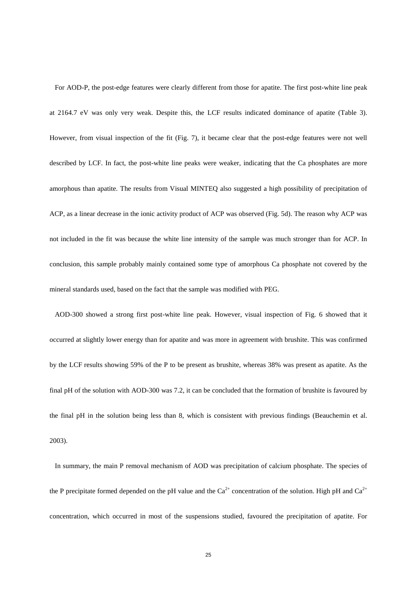For AOD-P, the post-edge features were clearly different from those for apatite. The first post-white line peak at 2164.7 eV was only very weak. Despite this, the LCF results indicated dominance of apatite (Table 3). However, from visual inspection of the fit (Fig. 7), it became clear that the post-edge features were not well described by LCF. In fact, the post-white line peaks were weaker, indicating that the Ca phosphates are more amorphous than apatite. The results from Visual MINTEQ also suggested a high possibility of precipitation of ACP, as a linear decrease in the ionic activity product of ACP was observed (Fig. 5d). The reason why ACP was not included in the fit was because the white line intensity of the sample was much stronger than for ACP. In conclusion, this sample probably mainly contained some type of amorphous Ca phosphate not covered by the mineral standards used, based on the fact that the sample was modified with PEG.

 AOD-300 showed a strong first post-white line peak. However, visual inspection of Fig. 6 showed that it occurred at slightly lower energy than for apatite and was more in agreement with brushite. This was confirmed by the LCF results showing 59% of the P to be present as brushite, whereas 38% was present as apatite. As the final pH of the solution with AOD-300 was 7.2, it can be concluded that the formation of brushite is favoured by the final pH in the solution being less than 8, which is consistent with previous findings (Beauchemin et al. 2003).

 In summary, the main P removal mechanism of AOD was precipitation of calcium phosphate. The species of the P precipitate formed depended on the pH value and the  $Ca^{2+}$  concentration of the solution. High pH and  $Ca^{2+}$ concentration, which occurred in most of the suspensions studied, favoured the precipitation of apatite. For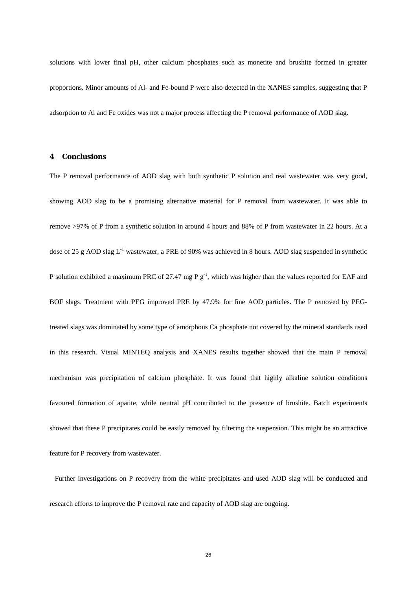solutions with lower final pH, other calcium phosphates such as monetite and brushite formed in greater proportions. Minor amounts of Al- and Fe-bound P were also detected in the XANES samples, suggesting that P adsorption to Al and Fe oxides was not a major process affecting the P removal performance of AOD slag.

#### **4 Conclusions**

The P removal performance of AOD slag with both synthetic P solution and real wastewater was very good, showing AOD slag to be a promising alternative material for P removal from wastewater. It was able to remove >97% of P from a synthetic solution in around 4 hours and 88% of P from wastewater in 22 hours. At a dose of 25 g AOD slag  $L^{-1}$  wastewater, a PRE of 90% was achieved in 8 hours. AOD slag suspended in synthetic P solution exhibited a maximum PRC of 27.47 mg P  $g^{-1}$ , which was higher than the values reported for EAF and BOF slags. Treatment with PEG improved PRE by 47.9% for fine AOD particles. The P removed by PEGtreated slags was dominated by some type of amorphous Ca phosphate not covered by the mineral standards used in this research. Visual MINTEQ analysis and XANES results together showed that the main P removal mechanism was precipitation of calcium phosphate. It was found that highly alkaline solution conditions favoured formation of apatite, while neutral pH contributed to the presence of brushite. Batch experiments showed that these P precipitates could be easily removed by filtering the suspension. This might be an attractive feature for P recovery from wastewater.

 Further investigations on P recovery from the white precipitates and used AOD slag will be conducted and research efforts to improve the P removal rate and capacity of AOD slag are ongoing.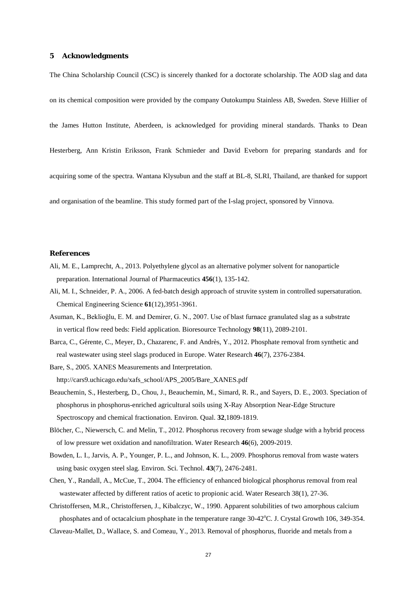#### **5 Acknowledgments**

The China Scholarship Council (CSC) is sincerely thanked for a doctorate scholarship. The AOD slag and data

on its chemical composition were provided by the company Outokumpu Stainless AB, Sweden. Steve Hillier of

the James Hutton Institute, Aberdeen, is acknowledged for providing mineral standards. Thanks to Dean

Hesterberg, Ann Kristin Eriksson, Frank Schmieder and David Eveborn for preparing standards and for

acquiring some of the spectra. Wantana Klysubun and the staff at BL-8, SLRI, Thailand, are thanked for support

and organisation of the beamline. This study formed part of the I-slag project, sponsored by Vinnova.

#### **References**

- Ali, M. E., Lamprecht, A., 2013. Polyethylene glycol as an alternative polymer solvent for nanoparticle preparation. International Journal of Pharmaceutics **456**(1), 135-142.
- Ali, M. I., Schneider, P. A., 2006. A fed-batch desigh approach of struvite system in controlled supersaturation. Chemical Engineering Science **61**(12),3951-3961.
- Asuman, K., Beklioğlu, E. M. and Demirer, G. N., 2007. Use of blast furnace granulated slag as a substrate in vertical flow reed beds: Field application. Bioresource Technology **98**(11), 2089-2101.
- Barca, C., Gérente, C., Meyer, D., Chazarenc, F. and Andrès, Y., 2012. Phosphate removal from synthetic and real wastewater using steel slags produced in Europe. Water Research **46**(7), 2376-2384.
- Bare, S., 2005. XANES Measurements and Interpretation.

http://cars9.uchicago.edu/xafs\_school/APS\_2005/Bare\_XANES.pdf

- Beauchemin, S., Hesterberg, D., Chou, J., Beauchemin, M., Simard, R. R., and Sayers, D. E., 2003. Speciation of phosphorus in phosphorus-enriched agricultural soils using X-Ray Absorption Near-Edge Structure Spectroscopy and chemical fractionation. Environ. Qual. **32**,1809-1819.
- Blöcher, C., Niewersch, C. and Melin, T., 2012. Phosphorus recovery from sewage sludge with a hybrid process of low pressure wet oxidation and nanofiltration. Water Research **46**(6), 2009-2019.
- Bowden, L. I., Jarvis, A. P., Younger, P. L., and Johnson, K. L., 2009. Phosphorus removal from waste waters using basic oxygen steel slag. Environ. Sci. Technol. **43**(7), 2476-2481.
- Chen, Y., Randall, A., McCue, T., 2004. The efficiency of enhanced biological phosphorus removal from real wastewater affected by different ratios of acetic to propionic acid. Water Research 38(1), 27-36.
- Christoffersen, M.R., Christoffersen, J., Kibalczyc, W., 1990. Apparent solubilities of two amorphous calcium phosphates and of octacalcium phosphate in the temperature range 30-42°C. J. Crystal Growth 106, 349-354.
- Claveau-Mallet, D., Wallace, S. and Comeau, Y., 2013. Removal of phosphorus, fluoride and metals from a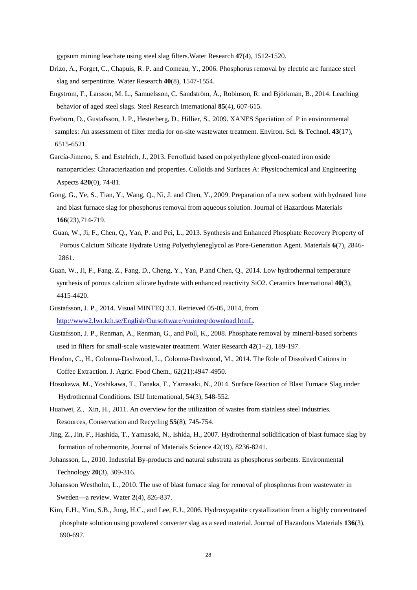gypsum mining leachate using steel slag filters.Water Research **47**(4), 1512-1520.

- Drizo, A., Forget, C., Chapuis, R. P. and Comeau, Y., 2006. Phosphorus removal by electric arc furnace steel slag and serpentinite. Water Research **40**(8), 1547-1554.
- Engström, F., Larsson, M. L., Samuelsson, C. Sandström, Å., Robinson, R. and Björkman, B., 2014. Leaching behavior of aged steel slags. Steel Research International **85**(4), 607-615.
- Eveborn, D., Gustafsson, J. P., Hesterberg, D., Hillier, S., 2009. XANES Speciation of P in environmental samples: An assessment of filter media for on-site wastewater treatment. Environ. Sci. & Technol. **43**(17), 6515-6521.
- García-Jimeno, S. and Estelrich, J., 2013. Ferrofluid based on polyethylene glycol-coated iron oxide nanoparticles: Characterization and properties. Colloids and Surfaces A: Physicochemical and Engineering Aspects **420**(0), 74-81.
- Gong, G., Ye, S., Tian, Y., Wang, Q., Ni, J. and Chen, Y., 2009. Preparation of a new sorbent with hydrated lime and blast furnace slag for phosphorus removal from aqueous solution. Journal of Hazardous Materials **166**(23),714-719.
- Guan, W., Ji, F., Chen, Q., Yan, P. and Pei, L., 2013. Synthesis and Enhanced Phosphate Recovery Property of Porous Calcium Silicate Hydrate Using Polyethyleneglycol as Pore-Generation Agent. Materials **6**(7), 2846- 2861.
- Guan, W., Ji, F., Fang, Z., Fang, D., Cheng, Y., Yan, P.and Chen, Q., 2014. Low hydrothermal temperature synthesis of porous calcium silicate hydrate with enhanced reactivity SiO2. Ceramics International **40**(3), 4415-4420.
- Gustafsson, J. P., 2014. Visual MINTEQ 3.1. Retrieved 05-05, 2014, from http://www2.lwr.kth.se/English/Oursoftware/vminteq/download.htmL.
- Gustafsson, J. P., Renman, A., Renman, G., and Poll, K., 2008. Phosphate removal by mineral-based sorbents used in filters for small-scale wastewater treatment. Water Research **42**(1–2), 189-197.
- Hendon, C., H., Colonna-Dashwood, L., Colonna-Dashwood, M., 2014. The Role of Dissolved Cations in Coffee Extraction. J. Agric. Food Chem., 62(21):4947-4950.
- Hosokawa, M., Yoshikawa, T., Tanaka, T., Yamasaki, N., 2014. Surface Reaction of Blast Furnace Slag under Hydrothermal Conditions. ISIJ International, 54(3), 548-552.
- Huaiwei, Z., Xin, H., 2011. An overview for the utilization of wastes from stainless steel industries. Resources, Conservation and Recycling **55**(8), 745-754.
- Jing, Z., Jin, F., Hashida, T., Yamasaki, N., Ishida, H., 2007. Hydrothermal solidification of blast furnace slag by formation of tobermorite, Journal of Materials Science 42(19), 8236-8241.
- Johansson, L., 2010. Industrial By-products and natural substrata as phosphorus sorbents. Environmental Technology **20**(3), 309-316.
- Johansson Westholm, L., 2010. The use of blast furnace slag for removal of phosphorus from wastewater in Sweden—a review. Water **2**(4), 826-837.
- Kim, E.H., Yim, S.B., Jung, H.C., and Lee, E.J., 2006. Hydroxyapatite crystallization from a highly concentrated phosphate solution using powdered converter slag as a seed material. Journal of Hazardous Materials **136**(3), 690-697.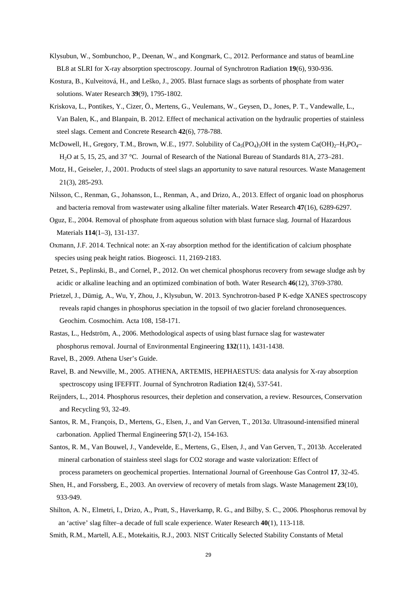- Klysubun, W., Sombunchoo, P., Deenan, W., and Kongmark, C., 2012. Performance and status of beamLine BL8 at SLRI for X-ray absorption spectroscopy. Journal of Synchrotron Radiation **19**(6), 930-936.
- Kostura, B., Kulveitová, H., and Leško, J., 2005. Blast furnace slags as sorbents of phosphate from water solutions. Water Research **39**(9), 1795-1802.
- Kriskova, L., Pontikes, Y., Cizer, Ö., Mertens, G., Veulemans, W., Geysen, D., Jones, P. T., Vandewalle, L., Van Balen, K., and Blanpain, B. 2012. Effect of mechanical activation on the hydraulic properties of stainless steel slags. Cement and Concrete Research **42**(6), 778-788.
- McDowell, H., Gregory, T.M., Brown, W.E., 1977. Solubility of  $Ca_5(PO_4)_3OH$  in the system  $Ca(OH)_2-H_3PO_4-$ H2O at 5, 15, 25, and 37 °C. Journal of Research of the National Bureau of Standards 81A, 273–281.
- Motz, H., Geiseler, J., 2001. Products of steel slags an apportunity to save natural resources. Waste Management 21(3), 285-293.
- Nilsson, C., Renman, G., Johansson, L., Renman, A., and Drizo, A., 2013. Effect of organic load on phosphorus and bacteria removal from wastewater using alkaline filter materials. Water Research **47**(16), 6289-6297.
- Oguz, E., 2004. Removal of phosphate from aqueous solution with blast furnace slag. Journal of Hazardous Materials **114**(1–3), 131-137.
- Oxmann, J.F. 2014. Technical note: an X-ray absorption method for the identification of calcium phosphate species using peak height ratios. Biogeosci. 11, 2169-2183.
- Petzet, S., Peplinski, B., and Cornel, P., 2012. On wet chemical phosphorus recovery from sewage sludge ash by acidic or alkaline leaching and an optimized combination of both. Water Research **46**(12), 3769-3780.
- Prietzel, J., Dümig, A., Wu, Y, Zhou, J., Klysubun, W. 2013. Synchrotron-based P K-edge XANES spectroscopy reveals rapid changes in phosphorus speciation in the topsoil of two glacier foreland chronosequences. Geochim. Cosmochim. Acta 108, 158-171.
- Rastas, L., Hedström, A., 2006. Methodological aspects of using blast furnace slag for wastewater phosphorus removal. Journal of Environmental Engineering **132**(11), 1431-1438.
- Ravel, B., 2009. Athena User's Guide.
- Ravel, B. and Newville, M., 2005. ATHENA, ARTEMIS, HEPHAESTUS: data analysis for X-ray absorption spectroscopy using IFEFFIT. Journal of Synchrotron Radiation **12**(4), 537-541.
- Reijnders, L., 2014. Phosphorus resources, their depletion and conservation, a review. Resources, Conservation and Recycling 93, 32-49.
- Santos, R. M., François, D., Mertens, G., Elsen, J., and Van Gerven, T., 2013*a*. Ultrasound-intensified mineral carbonation. Applied Thermal Engineering **57**(1-2), 154-163.
- Santos, R. M., Van Bouwel, J., Vandevelde, E., Mertens, G., Elsen, J., and Van Gerven, T., 2013*b*. Accelerated mineral carbonation of stainless steel slags for CO2 storage and waste valorization: Effect of process parameters on geochemical properties. International Journal of Greenhouse Gas Control **17**, 32-45.
- Shen, H., and Forssberg, E., 2003. An overview of recovery of metals from slags. Waste Management **23**(10), 933-949.
- Shilton, A. N., Elmetri, I., Drizo, A., Pratt, S., Haverkamp, R. G., and Bilby, S. C., 2006. Phosphorus removal by an 'active' slag filter–a decade of full scale experience. Water Research **40**(1), 113-118.

Smith, R.M., Martell, A.E., Motekaitis, R.J., 2003. NIST Critically Selected Stability Constants of Metal